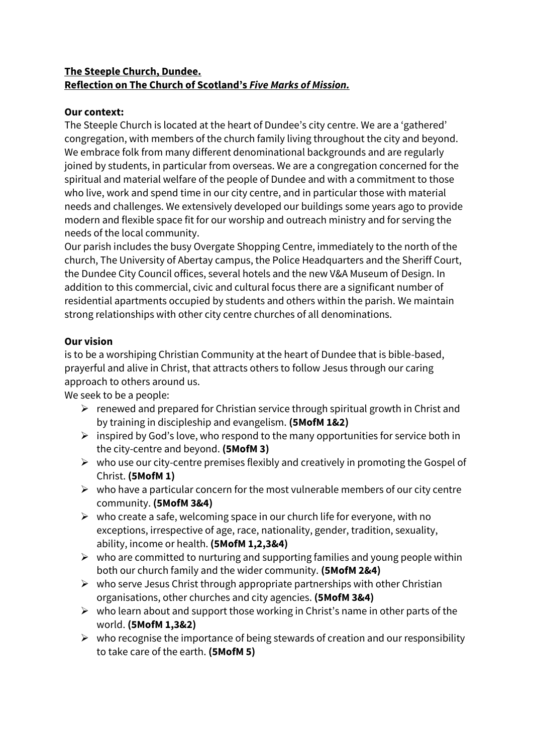#### **The Steeple Church, Dundee. Reflection on The Church of Scotland's** *Five Marks of Mission.*

## **Our context:**

The Steeple Church is located at the heart of Dundee's city centre. We are a 'gathered' congregation, with members of the church family living throughout the city and beyond. We embrace folk from many different denominational backgrounds and are regularly joined by students, in particular from overseas. We are a congregation concerned for the spiritual and material welfare of the people of Dundee and with a commitment to those who live, work and spend time in our city centre, and in particular those with material needs and challenges. We extensively developed our buildings some years ago to provide modern and flexible space fit for our worship and outreach ministry and for serving the needs of the local community.

Our parish includes the busy Overgate Shopping Centre, immediately to the north of the church, The University of Abertay campus, the Police Headquarters and the Sheriff Court, the Dundee City Council offices, several hotels and the new V&A Museum of Design. In addition to this commercial, civic and cultural focus there are a significant number of residential apartments occupied by students and others within the parish. We maintain strong relationships with other city centre churches of all denominations.

#### **Our vision**

is to be a worshiping Christian Community at the heart of Dundee that is bible-based, prayerful and alive in Christ, that attracts others to follow Jesus through our caring approach to others around us.

We seek to be a people:

- $\triangleright$  renewed and prepared for Christian service through spiritual growth in Christ and by training in discipleship and evangelism. **(5MofM 1&2)**
- $\triangleright$  inspired by God's love, who respond to the many opportunities for service both in the city-centre and beyond. **(5MofM 3)**
- $\triangleright$  who use our city-centre premises flexibly and creatively in promoting the Gospel of Christ. **(5MofM 1)**
- $\triangleright$  who have a particular concern for the most vulnerable members of our city centre community. **(5MofM 3&4)**
- $\triangleright$  who create a safe, welcoming space in our church life for everyone, with no exceptions, irrespective of age, race, nationality, gender, tradition, sexuality, ability, income or health. **(5MofM 1,2,3&4)**
- $\triangleright$  who are committed to nurturing and supporting families and young people within both our church family and the wider community. **(5MofM 2&4)**
- $\triangleright$  who serve Jesus Christ through appropriate partnerships with other Christian organisations, other churches and city agencies. **(5MofM 3&4)**
- $\triangleright$  who learn about and support those working in Christ's name in other parts of the world. **(5MofM 1,3&2)**
- $\triangleright$  who recognise the importance of being stewards of creation and our responsibility to take care of the earth. **(5MofM 5)**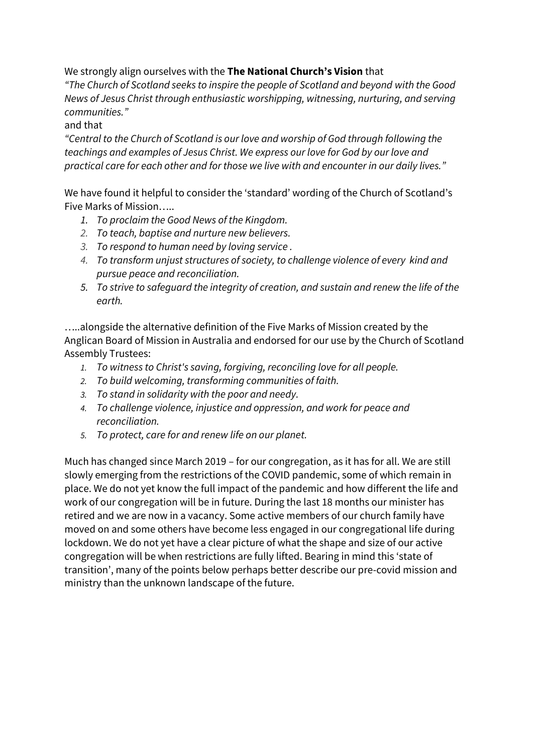We strongly align ourselves with the **The National Church's Vision** that

*"The Church of Scotland seeks to inspire the people of Scotland and beyond with the Good News of Jesus Christ through enthusiastic worshipping, witnessing, nurturing, and serving communities."*

and that

*"Central to the Church of Scotland is our love and worship of God through following the teachings and examples of Jesus Christ. We express our love for God by our love and practical care for each other and for those we live with and encounter in our daily lives."*

We have found it helpful to consider the 'standard' wording of the Church of Scotland's Five Marks of Mission…..

- *1. To proclaim the Good News of the Kingdom.*
- *2. To teach, baptise and nurture new believers.*
- *3. To respond to human need by loving service .*
- *4. To transform unjust structures of society, to challenge violence of every kind and pursue peace and reconciliation.*
- *5. To strive to safeguard the integrity of creation, and sustain and renew the life of the earth.*

…..alongside the alternative definition of the Five Marks of Mission created by the Anglican Board of Mission in Australia and endorsed for our use by the Church of Scotland Assembly Trustees:

- *1. To witness to Christ's saving, forgiving, reconciling love for all people.*
- *2. To build welcoming, transforming communities of faith.*
- *3. To stand in solidarity with the poor and needy.*
- *4. To challenge violence, injustice and oppression, and work for peace and reconciliation.*
- *5. To protect, care for and renew life on our planet.*

Much has changed since March 2019 – for our congregation, as it has for all. We are still slowly emerging from the restrictions of the COVID pandemic, some of which remain in place. We do not yet know the full impact of the pandemic and how different the life and work of our congregation will be in future. During the last 18 months our minister has retired and we are now in a vacancy. Some active members of our church family have moved on and some others have become less engaged in our congregational life during lockdown. We do not yet have a clear picture of what the shape and size of our active congregation will be when restrictions are fully lifted. Bearing in mind this 'state of transition', many of the points below perhaps better describe our pre-covid mission and ministry than the unknown landscape of the future.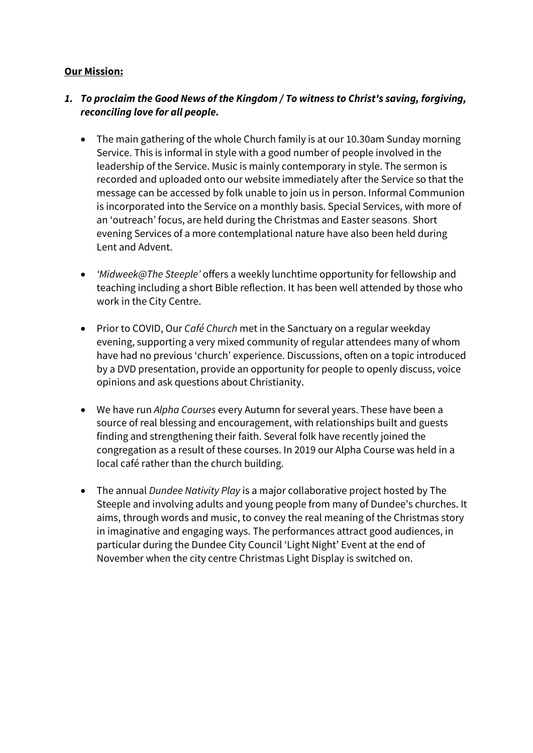#### **Our Mission:**

## *1. To proclaim the Good News of the Kingdom / To witness to Christ's saving, forgiving, reconciling love for all people.*

- The main gathering of the whole Church family is at our 10.30am Sunday morning Service. This is informal in style with a good number of people involved in the leadership of the Service. Music is mainly contemporary in style. The sermon is recorded and uploaded onto our website immediately after the Service so that the message can be accessed by folk unable to join us in person. Informal Communion is incorporated into the Service on a monthly basis. Special Services, with more of an 'outreach' focus, are held during the Christmas and Easter seasons. Short evening Services of a more contemplational nature have also been held during Lent and Advent.
- *'Midweek@The Steeple'* offers a weekly lunchtime opportunity for fellowship and teaching including a short Bible reflection. It has been well attended by those who work in the City Centre.
- Prior to COVID, Our *Café Church* met in the Sanctuary on a regular weekday evening, supporting a very mixed community of regular attendees many of whom have had no previous 'church' experience. Discussions, often on a topic introduced by a DVD presentation, provide an opportunity for people to openly discuss, voice opinions and ask questions about Christianity.
- We have run *Alpha Courses* every Autumn for several years. These have been a source of real blessing and encouragement, with relationships built and guests finding and strengthening their faith. Several folk have recently joined the congregation as a result of these courses. In 2019 our Alpha Course was held in a local café rather than the church building.
- The annual *Dundee Nativity Play* is a major collaborative project hosted by The Steeple and involving adults and young people from many of Dundee's churches. It aims, through words and music, to convey the real meaning of the Christmas story in imaginative and engaging ways. The performances attract good audiences, in particular during the Dundee City Council 'Light Night' Event at the end of November when the city centre Christmas Light Display is switched on.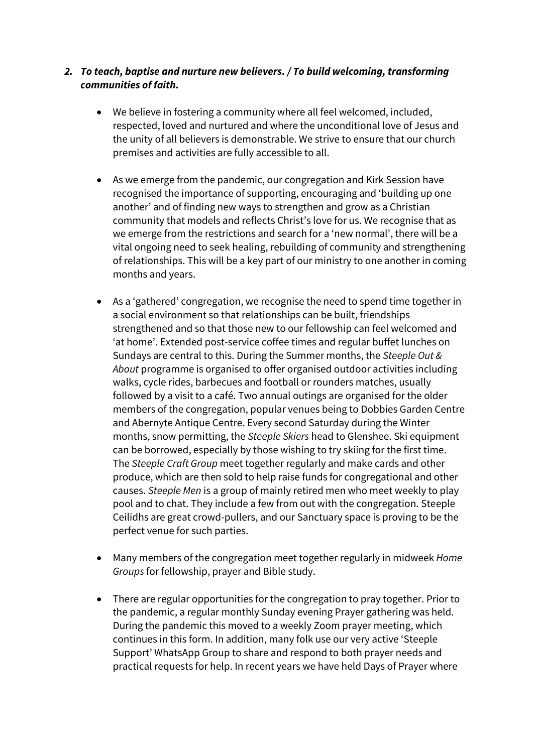#### *2. To teach, baptise and nurture new believers. / To build welcoming, transforming communities of faith.*

- We believe in fostering a community where all feel welcomed, included, respected, loved and nurtured and where the unconditional love of Jesus and the unity of all believers is demonstrable. We strive to ensure that our church premises and activities are fully accessible to all.
- As we emerge from the pandemic, our congregation and Kirk Session have recognised the importance of supporting, encouraging and 'building up one another' and of finding new ways to strengthen and grow as a Christian community that models and reflects Christ's love for us. We recognise that as we emerge from the restrictions and search for a 'new normal', there will be a vital ongoing need to seek healing, rebuilding of community and strengthening of relationships. This will be a key part of our ministry to one another in coming months and years.
- As a 'gathered' congregation, we recognise the need to spend time together in a social environment so that relationships can be built, friendships strengthened and so that those new to our fellowship can feel welcomed and 'at home'. Extended post-service coffee times and regular buffet lunches on Sundays are central to this. During the Summer months, the *Steeple Out & About* programme is organised to offer organised outdoor activities including walks, cycle rides, barbecues and football or rounders matches, usually followed by a visit to a café. Two annual outings are organised for the older members of the congregation, popular venues being to Dobbies Garden Centre and Abernyte Antique Centre. Every second Saturday during the Winter months, snow permitting, the *Steeple Skiers* head to Glenshee. Ski equipment can be borrowed, especially by those wishing to try skiing for the first time. The *Steeple Craft Group* meet together regularly and make cards and other produce, which are then sold to help raise funds for congregational and other causes. *Steeple Men* is a group of mainly retired men who meet weekly to play pool and to chat. They include a few from out with the congregation. Steeple Ceilidhs are great crowd-pullers, and our Sanctuary space is proving to be the perfect venue for such parties.
- Many members of the congregation meet together regularly in midweek *Home Groups* for fellowship, prayer and Bible study.
- There are regular opportunities for the congregation to pray together. Prior to the pandemic, a regular monthly Sunday evening Prayer gathering was held. During the pandemic this moved to a weekly Zoom prayer meeting, which continues in this form. In addition, many folk use our very active 'Steeple Support' WhatsApp Group to share and respond to both prayer needs and practical requests for help. In recent years we have held Days of Prayer where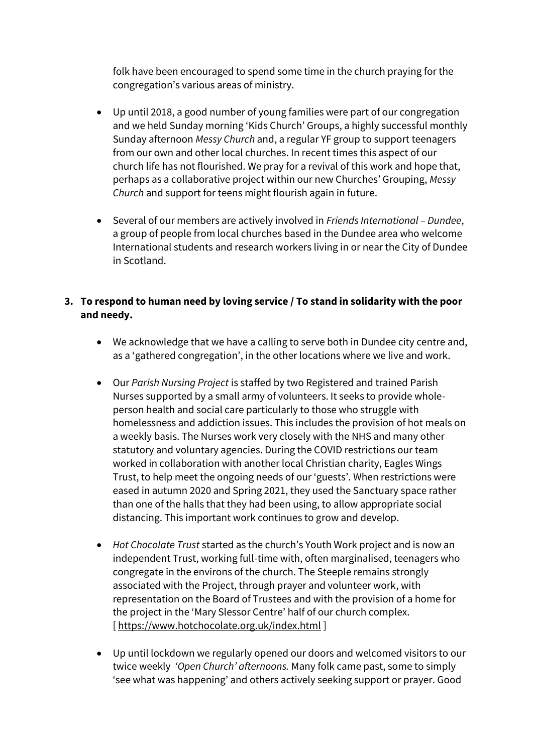folk have been encouraged to spend some time in the church praying for the congregation's various areas of ministry.

- Up until 2018, a good number of young families were part of our congregation and we held Sunday morning 'Kids Church' Groups, a highly successful monthly Sunday afternoon *Messy Church* and, a regular YF group to support teenagers from our own and other local churches. In recent times this aspect of our church life has not flourished. We pray for a revival of this work and hope that, perhaps as a collaborative project within our new Churches' Grouping, *Messy Church* and support for teens might flourish again in future.
- Several of our members are actively involved in *Friends International – Dundee*, a group of people from local churches based in the Dundee area who welcome International students and research workers living in or near the City of Dundee in Scotland.

## **3. To respond to human need by loving service / To stand in solidarity with the poor and needy.**

- We acknowledge that we have a calling to serve both in Dundee city centre and, as a 'gathered congregation', in the other locations where we live and work.
- Our *Parish Nursing Project* is staffed by two Registered and trained Parish Nurses supported by a small army of volunteers. It seeks to provide wholeperson health and social care particularly to those who struggle with homelessness and addiction issues. This includes the provision of hot meals on a weekly basis. The Nurses work very closely with the NHS and many other statutory and voluntary agencies. During the COVID restrictions our team worked in collaboration with another local Christian charity, Eagles Wings Trust, to help meet the ongoing needs of our 'guests'. When restrictions were eased in autumn 2020 and Spring 2021, they used the Sanctuary space rather than one of the halls that they had been using, to allow appropriate social distancing. This important work continues to grow and develop.
- *Hot Chocolate Trust* started as the church's Youth Work project and is now an independent Trust, working full-time with, often marginalised, teenagers who congregate in the environs of the church. The Steeple remains strongly associated with the Project, through prayer and volunteer work, with representation on the Board of Trustees and with the provision of a home for the project in the 'Mary Slessor Centre' half of our church complex. [<https://www.hotchocolate.org.uk/index.html> ]
- Up until lockdown we regularly opened our doors and welcomed visitors to our twice weekly *'Open Church' afternoons.* Many folk came past, some to simply 'see what was happening' and others actively seeking support or prayer. Good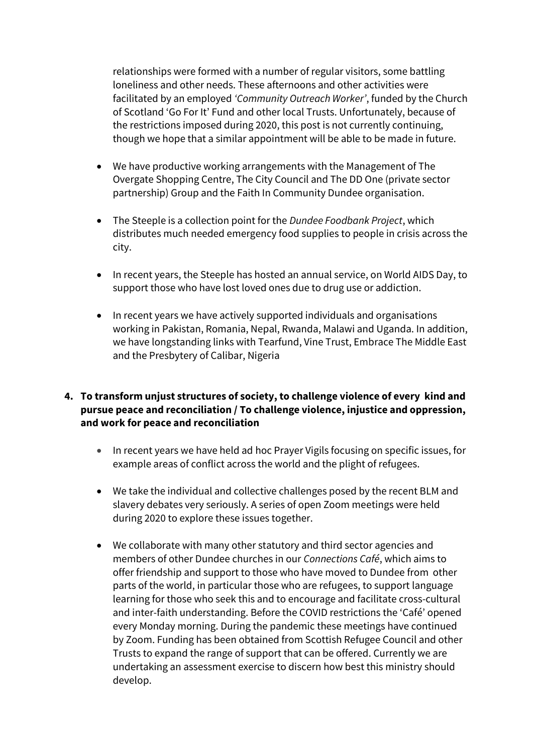relationships were formed with a number of regular visitors, some battling loneliness and other needs. These afternoons and other activities were facilitated by an employed *'Community Outreach Worker'*, funded by the Church of Scotland 'Go For It' Fund and other local Trusts. Unfortunately, because of the restrictions imposed during 2020, this post is not currently continuing, though we hope that a similar appointment will be able to be made in future.

- We have productive working arrangements with the Management of The Overgate Shopping Centre, The City Council and The DD One (private sector partnership) Group and the Faith In Community Dundee organisation.
- The Steeple is a collection point for the *Dundee Foodbank Project*, which distributes much needed emergency food supplies to people in crisis across the city.
- In recent years, the Steeple has hosted an annual service, on World AIDS Day, to support those who have lost loved ones due to drug use or addiction.
- In recent years we have actively supported individuals and organisations working in Pakistan, Romania, Nepal, Rwanda, Malawi and Uganda. In addition, we have longstanding links with Tearfund, Vine Trust, Embrace The Middle East and the Presbytery of Calibar, Nigeria

## **4. To transform unjust structures of society, to challenge violence of every kind and pursue peace and reconciliation / To challenge violence, injustice and oppression, and work for peace and reconciliation**

- In recent years we have held ad hoc Prayer Vigils focusing on specific issues, for example areas of conflict across the world and the plight of refugees.
- We take the individual and collective challenges posed by the recent BLM and slavery debates very seriously. A series of open Zoom meetings were held during 2020 to explore these issues together.
- We collaborate with many other statutory and third sector agencies and members of other Dundee churches in our *Connections Café*, which aims to offer friendship and support to those who have moved to Dundee from other parts of the world, in particular those who are refugees, to support language learning for those who seek this and to encourage and facilitate cross-cultural and inter-faith understanding. Before the COVID restrictions the 'Café' opened every Monday morning. During the pandemic these meetings have continued by Zoom. Funding has been obtained from Scottish Refugee Council and other Trusts to expand the range of support that can be offered. Currently we are undertaking an assessment exercise to discern how best this ministry should develop.